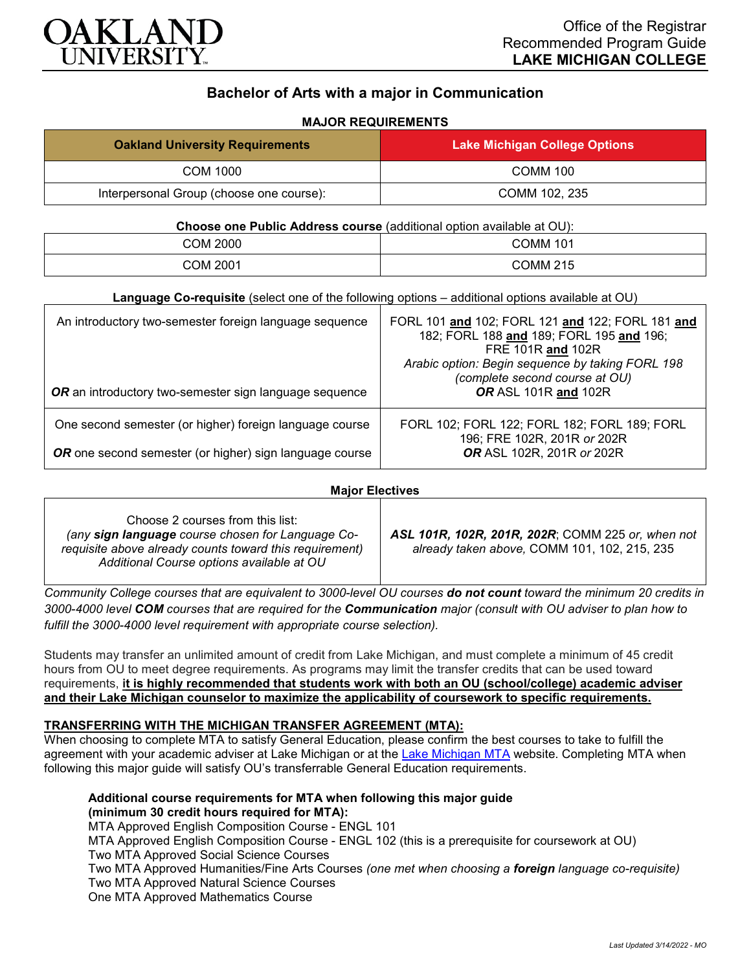

# **Bachelor of Arts with a major in Communication**

#### **MAJOR REQUIREMENTS**

| <b>Oakland University Requirements</b>   | <b>Lake Michigan College Options</b> |
|------------------------------------------|--------------------------------------|
| COM 1000                                 | <b>COMM 100</b>                      |
| Interpersonal Group (choose one course): | COMM 102, 235                        |

#### **Choose one Public Address course** (additional option available at OU):

| COM 2000 | COMM 101 |
|----------|----------|
| COM 2001 | COMM 215 |

| An introductory two-semester foreign language sequence<br>OR an introductory two-semester sign language sequence | FORL 101 and 102; FORL 121 and 122; FORL 181 and<br>182; FORL 188 and 189; FORL 195 and 196;<br>FRE 101R and 102R<br>Arabic option: Begin sequence by taking FORL 198<br>(complete second course at OU)<br>OR ASL 101R and 102R |
|------------------------------------------------------------------------------------------------------------------|---------------------------------------------------------------------------------------------------------------------------------------------------------------------------------------------------------------------------------|
| One second semester (or higher) foreign language course                                                          | FORL 102; FORL 122; FORL 182; FORL 189; FORL<br>196; FRE 102R, 201R or 202R                                                                                                                                                     |
| OR one second semester (or higher) sign language course                                                          | <b>OR ASL 102R, 201R or 202R</b>                                                                                                                                                                                                |

#### **Major Electives**

*Community College courses that are equivalent to 3000-level OU courses do not count toward the minimum 20 credits in 3000-4000 level COM courses that are required for the Communication major (consult with OU adviser to plan how to fulfill the 3000-4000 level requirement with appropriate course selection).*

Students may transfer an unlimited amount of credit from Lake Michigan, and must complete a minimum of 45 credit hours from OU to meet degree requirements. As programs may limit the transfer credits that can be used toward requirements, **it is highly recommended that students work with both an OU (school/college) academic adviser and their Lake Michigan counselor to maximize the applicability of coursework to specific requirements.**

## **TRANSFERRING WITH THE MICHIGAN TRANSFER AGREEMENT (MTA):**

When choosing to complete MTA to satisfy General Education, please confirm the best courses to take to fulfill the agreement with your academic adviser at Lake Michigan or at the [Lake Michigan MTA](https://www.lakemichigancollege.edu/academics/educational-goals/transfer/transfer-information) website. Completing MTA when following this major guide will satisfy OU's transferrable General Education requirements.

## **Additional course requirements for MTA when following this major guide (minimum 30 credit hours required for MTA):**

MTA Approved English Composition Course - ENGL 101 MTA Approved English Composition Course - ENGL 102 (this is a prerequisite for coursework at OU) Two MTA Approved Social Science Courses Two MTA Approved Humanities/Fine Arts Courses *(one met when choosing a foreign language co-requisite)* Two MTA Approved Natural Science Courses One MTA Approved Mathematics Course